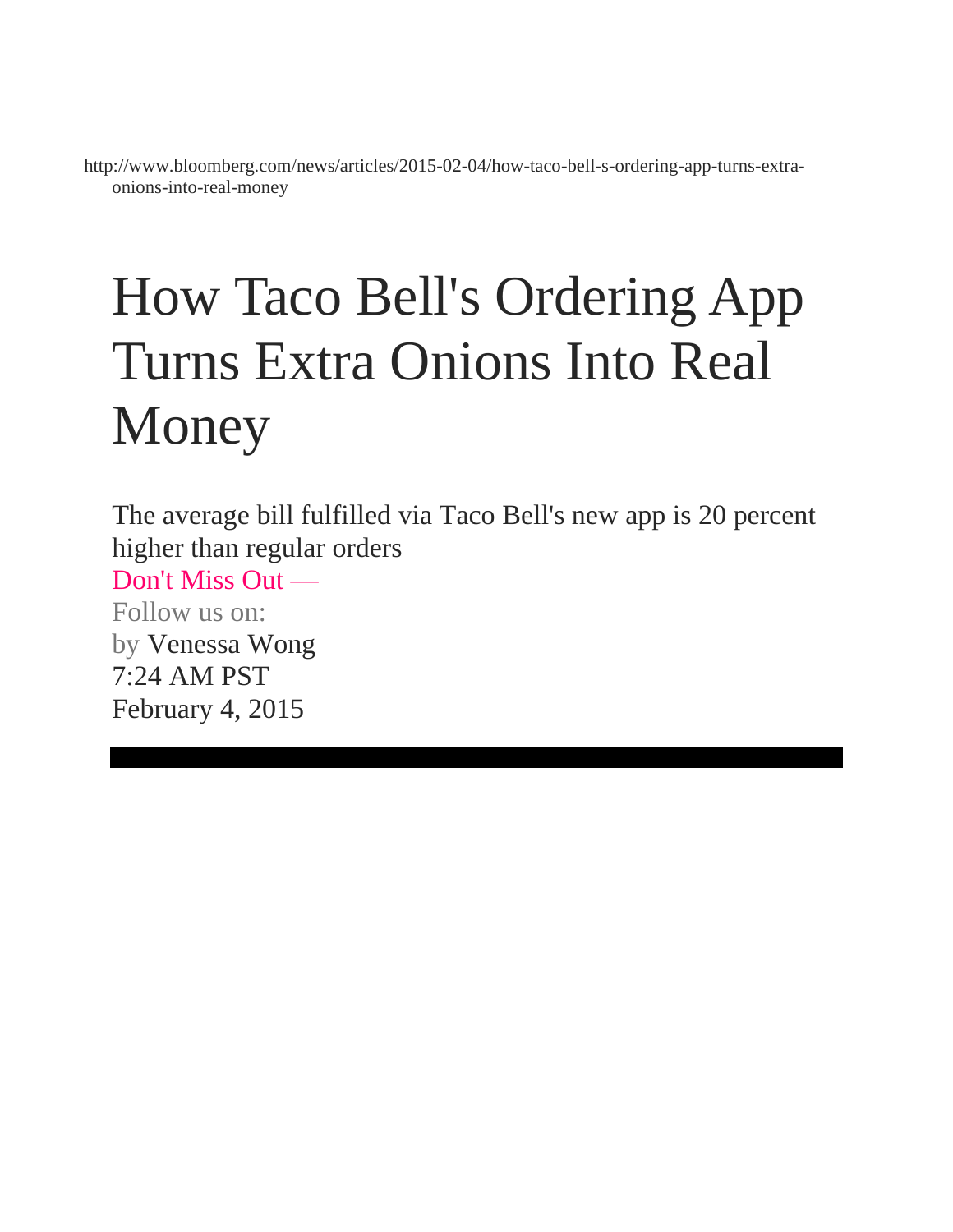http://www.bloomberg.com/news/articles/2015-02-04/how-taco-bell-s-ordering-app-turns-extraonions-into-real-money

## How Taco Bell's Ordering App Turns Extra Onions Into Real Money

The average bill fulfilled via Taco Bell's new app is 20 percent higher than regular orders

Don't Miss Out — Follow us on: by [Venessa Wong](http://www.bloomberg.com/authors/AP9Ju6eUSPU/venessa-wong) 7:24 AM PST

February 4, 2015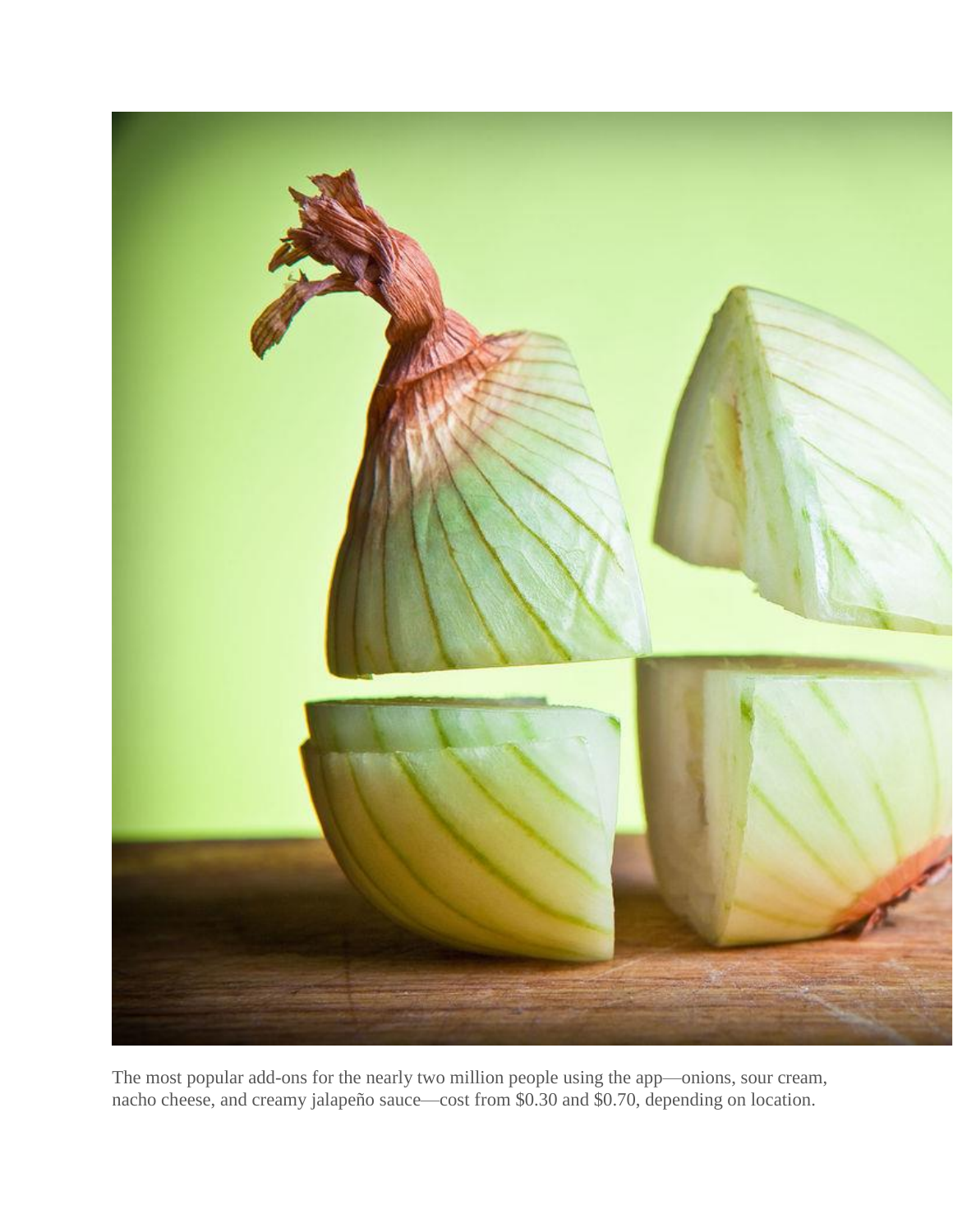

The most popular add-ons for the nearly two million people using the app—onions, sour cream, nacho cheese, and creamy jalapeño sauce—cost from \$0.30 and \$0.70, depending on location.